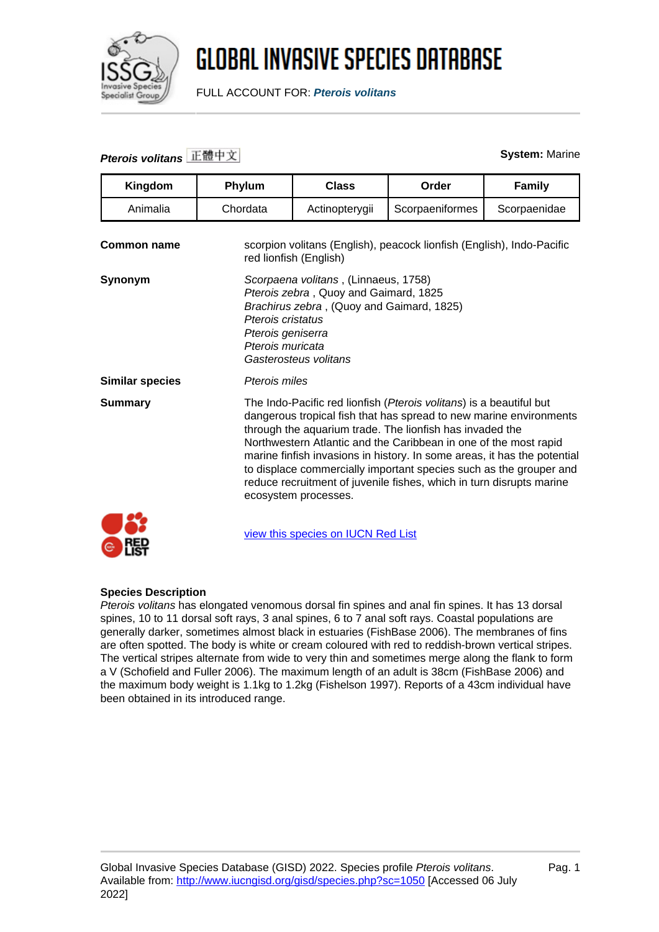

FULL ACCOUNT FOR: **Pterois volitans**

### **Pterois volitans** 正體中文 **System:** Marine

| Kingdom                | Phylum                                                                                                                                                                                                                                                                                                                                                                                                                                                                                                                      | <b>Class</b>                       | Order           | <b>Family</b> |
|------------------------|-----------------------------------------------------------------------------------------------------------------------------------------------------------------------------------------------------------------------------------------------------------------------------------------------------------------------------------------------------------------------------------------------------------------------------------------------------------------------------------------------------------------------------|------------------------------------|-----------------|---------------|
| Animalia               | Chordata                                                                                                                                                                                                                                                                                                                                                                                                                                                                                                                    | Actinopterygii                     | Scorpaeniformes | Scorpaenidae  |
| Common name            | scorpion volitans (English), peacock lionfish (English), Indo-Pacific<br>red lionfish (English)                                                                                                                                                                                                                                                                                                                                                                                                                             |                                    |                 |               |
| Synonym                | Scorpaena volitans, (Linnaeus, 1758)<br>Pterois zebra, Quoy and Gaimard, 1825<br>Brachirus zebra, (Quoy and Gaimard, 1825)<br>Pterois cristatus<br>Pterois geniserra<br>Pterois muricata<br>Gasterosteus volitans                                                                                                                                                                                                                                                                                                           |                                    |                 |               |
| <b>Similar species</b> | Pterois miles                                                                                                                                                                                                                                                                                                                                                                                                                                                                                                               |                                    |                 |               |
| <b>Summary</b>         | The Indo-Pacific red lionfish (Pterois volitans) is a beautiful but<br>dangerous tropical fish that has spread to new marine environments<br>through the aquarium trade. The lionfish has invaded the<br>Northwestern Atlantic and the Caribbean in one of the most rapid<br>marine finfish invasions in history. In some areas, it has the potential<br>to displace commercially important species such as the grouper and<br>reduce recruitment of juvenile fishes, which in turn disrupts marine<br>ecosystem processes. |                                    |                 |               |
|                        |                                                                                                                                                                                                                                                                                                                                                                                                                                                                                                                             | view this species on IUCN Red List |                 |               |

#### **Species Description**

 $\odot$  ref

Pterois volitans has elongated venomous dorsal fin spines and anal fin spines. It has 13 dorsal spines, 10 to 11 dorsal soft rays, 3 anal spines, 6 to 7 anal soft rays. Coastal populations are generally darker, sometimes almost black in estuaries (FishBase 2006). The membranes of fins are often spotted. The body is white or cream coloured with red to reddish-brown vertical stripes. The vertical stripes alternate from wide to very thin and sometimes merge along the flank to form a V (Schofield and Fuller 2006). The maximum length of an adult is 38cm (FishBase 2006) and the maximum body weight is 1.1kg to 1.2kg (Fishelson 1997). Reports of a 43cm individual have been obtained in its introduced range.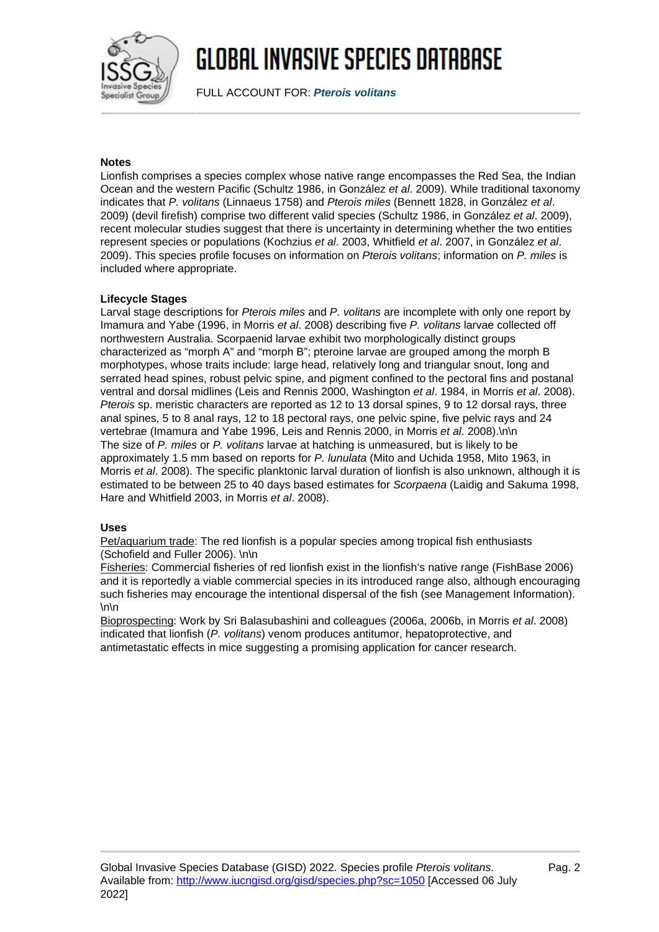

FULL ACCOUNT FOR: **Pterois volitans**

### **Notes**

Lionfish comprises a species complex whose native range encompasses the Red Sea, the Indian Ocean and the western Pacific (Schultz 1986, in González et al. 2009). While traditional taxonomy indicates that P. volitans (Linnaeus 1758) and Pterois miles (Bennett 1828, in González et al. 2009) (devil firefish) comprise two different valid species (Schultz 1986, in González et al. 2009), recent molecular studies suggest that there is uncertainty in determining whether the two entities represent species or populations (Kochzius et al. 2003, Whitfield et al. 2007, in González et al. 2009). This species profile focuses on information on Pterois volitans; information on P. miles is included where appropriate.

#### **Lifecycle Stages**

Larval stage descriptions for Pterois miles and P. volitans are incomplete with only one report by Imamura and Yabe (1996, in Morris et al. 2008) describing five P. volitans larvae collected off northwestern Australia. Scorpaenid larvae exhibit two morphologically distinct groups characterized as "morph A" and "morph B"; pteroine larvae are grouped among the morph B morphotypes, whose traits include: large head, relatively long and triangular snout, long and serrated head spines, robust pelvic spine, and pigment confined to the pectoral fins and postanal ventral and dorsal midlines (Leis and Rennis 2000, Washington et al. 1984, in Morris et al. 2008). Pterois sp. meristic characters are reported as 12 to 13 dorsal spines, 9 to 12 dorsal rays, three anal spines, 5 to 8 anal rays, 12 to 18 pectoral rays, one pelvic spine, five pelvic rays and 24 vertebrae (Imamura and Yabe 1996, Leis and Rennis 2000, in Morris et al. 2008).\n\n The size of P. miles or P. volitans larvae at hatching is unmeasured, but is likely to be approximately 1.5 mm based on reports for P. lunulata (Mito and Uchida 1958, Mito 1963, in Morris et al. 2008). The specific planktonic larval duration of lionfish is also unknown, although it is estimated to be between 25 to 40 days based estimates for Scorpaena (Laidig and Sakuma 1998, Hare and Whitfield 2003, in Morris et al. 2008).

#### **Uses**

Pet/aquarium trade: The red lionfish is a popular species among tropical fish enthusiasts (Schofield and Fuller 2006). \n\n

Fisheries: Commercial fisheries of red lionfish exist in the lionfish's native range (FishBase 2006) and it is reportedly a viable commercial species in its introduced range also, although encouraging such fisheries may encourage the intentional dispersal of the fish (see Management Information).  $\ln$ 

Bioprospecting: Work by Sri Balasubashini and colleagues (2006a, 2006b, in Morris et al. 2008) indicated that lionfish (P. volitans) venom produces antitumor, hepatoprotective, and antimetastatic effects in mice suggesting a promising application for cancer research.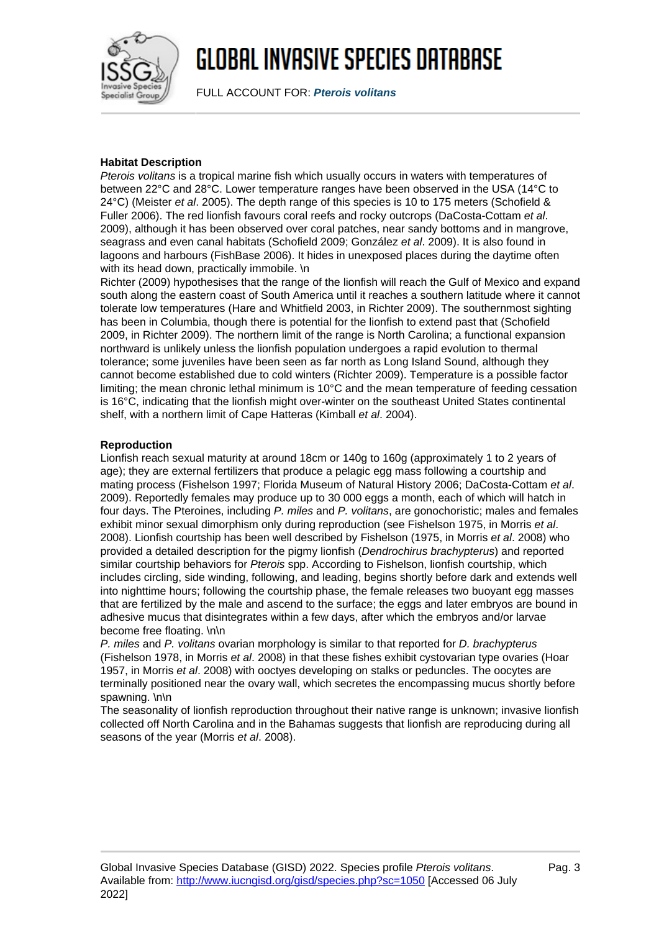

FULL ACCOUNT FOR: **Pterois volitans**

#### **Habitat Description**

Pterois volitans is a tropical marine fish which usually occurs in waters with temperatures of between 22°C and 28°C. Lower temperature ranges have been observed in the USA (14°C to 24°C) (Meister et al. 2005). The depth range of this species is 10 to 175 meters (Schofield & Fuller 2006). The red lionfish favours coral reefs and rocky outcrops (DaCosta-Cottam et al. 2009), although it has been observed over coral patches, near sandy bottoms and in mangrove, seagrass and even canal habitats (Schofield 2009; González et al. 2009). It is also found in lagoons and harbours (FishBase 2006). It hides in unexposed places during the daytime often with its head down, practically immobile. \n

Richter (2009) hypothesises that the range of the lionfish will reach the Gulf of Mexico and expand south along the eastern coast of South America until it reaches a southern latitude where it cannot tolerate low temperatures (Hare and Whitfield 2003, in Richter 2009). The southernmost sighting has been in Columbia, though there is potential for the lionfish to extend past that (Schofield 2009, in Richter 2009). The northern limit of the range is North Carolina; a functional expansion northward is unlikely unless the lionfish population undergoes a rapid evolution to thermal tolerance; some juveniles have been seen as far north as Long Island Sound, although they cannot become established due to cold winters (Richter 2009). Temperature is a possible factor limiting; the mean chronic lethal minimum is 10°C and the mean temperature of feeding cessation is 16°C, indicating that the lionfish might over-winter on the southeast United States continental shelf, with a northern limit of Cape Hatteras (Kimball et al. 2004).

### **Reproduction**

Lionfish reach sexual maturity at around 18cm or 140g to 160g (approximately 1 to 2 years of age); they are external fertilizers that produce a pelagic egg mass following a courtship and mating process (Fishelson 1997; Florida Museum of Natural History 2006; DaCosta-Cottam et al. 2009). Reportedly females may produce up to 30 000 eggs a month, each of which will hatch in four days. The Pteroines, including P. miles and P. volitans, are gonochoristic; males and females exhibit minor sexual dimorphism only during reproduction (see Fishelson 1975, in Morris et al. 2008). Lionfish courtship has been well described by Fishelson (1975, in Morris et al. 2008) who provided a detailed description for the pigmy lionfish (Dendrochirus brachypterus) and reported similar courtship behaviors for Pterois spp. According to Fishelson, lionfish courtship, which includes circling, side winding, following, and leading, begins shortly before dark and extends well into nighttime hours; following the courtship phase, the female releases two buoyant egg masses that are fertilized by the male and ascend to the surface; the eggs and later embryos are bound in adhesive mucus that disintegrates within a few days, after which the embryos and/or larvae become free floating. \n\n

P. miles and P. volitans ovarian morphology is similar to that reported for D. brachypterus (Fishelson 1978, in Morris et al. 2008) in that these fishes exhibit cystovarian type ovaries (Hoar 1957, in Morris et al. 2008) with ooctyes developing on stalks or peduncles. The oocytes are terminally positioned near the ovary wall, which secretes the encompassing mucus shortly before spawning. \n\n

The seasonality of lionfish reproduction throughout their native range is unknown; invasive lionfish collected off North Carolina and in the Bahamas suggests that lionfish are reproducing during all seasons of the year (Morris et al. 2008).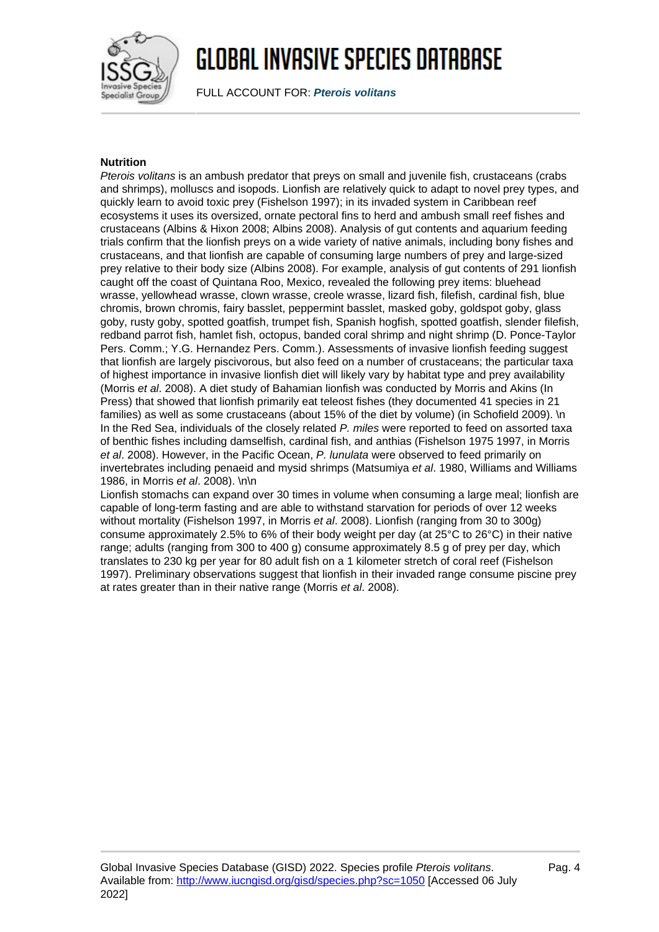

FULL ACCOUNT FOR: **Pterois volitans**

#### **Nutrition**

Pterois volitans is an ambush predator that preys on small and juvenile fish, crustaceans (crabs and shrimps), molluscs and isopods. Lionfish are relatively quick to adapt to novel prey types, and quickly learn to avoid toxic prey (Fishelson 1997); in its invaded system in Caribbean reef ecosystems it uses its oversized, ornate pectoral fins to herd and ambush small reef fishes and crustaceans (Albins & Hixon 2008; Albins 2008). Analysis of gut contents and aquarium feeding trials confirm that the lionfish preys on a wide variety of native animals, including bony fishes and crustaceans, and that lionfish are capable of consuming large numbers of prey and large-sized prey relative to their body size (Albins 2008). For example, analysis of gut contents of 291 lionfish caught off the coast of Quintana Roo, Mexico, revealed the following prey items: bluehead wrasse, yellowhead wrasse, clown wrasse, creole wrasse, lizard fish, filefish, cardinal fish, blue chromis, brown chromis, fairy basslet, peppermint basslet, masked goby, goldspot goby, glass goby, rusty goby, spotted goatfish, trumpet fish, Spanish hogfish, spotted goatfish, slender filefish, redband parrot fish, hamlet fish, octopus, banded coral shrimp and night shrimp (D. Ponce-Taylor Pers. Comm.; Y.G. Hernandez Pers. Comm.). Assessments of invasive lionfish feeding suggest that lionfish are largely piscivorous, but also feed on a number of crustaceans; the particular taxa of highest importance in invasive lionfish diet will likely vary by habitat type and prey availability (Morris et al. 2008). A diet study of Bahamian lionfish was conducted by Morris and Akins (In Press) that showed that lionfish primarily eat teleost fishes (they documented 41 species in 21 families) as well as some crustaceans (about 15% of the diet by volume) (in Schofield 2009). \n In the Red Sea, individuals of the closely related P. miles were reported to feed on assorted taxa of benthic fishes including damselfish, cardinal fish, and anthias (Fishelson 1975 1997, in Morris et al. 2008). However, in the Pacific Ocean, P. lunulata were observed to feed primarily on invertebrates including penaeid and mysid shrimps (Matsumiya et al. 1980, Williams and Williams 1986, in Morris et al. 2008). \n\n

Lionfish stomachs can expand over 30 times in volume when consuming a large meal; lionfish are capable of long-term fasting and are able to withstand starvation for periods of over 12 weeks without mortality (Fishelson 1997, in Morris et al. 2008). Lionfish (ranging from 30 to 300g) consume approximately 2.5% to 6% of their body weight per day (at 25°C to 26°C) in their native range; adults (ranging from 300 to 400 g) consume approximately 8.5 g of prey per day, which translates to 230 kg per year for 80 adult fish on a 1 kilometer stretch of coral reef (Fishelson 1997). Preliminary observations suggest that lionfish in their invaded range consume piscine prey at rates greater than in their native range (Morris et al. 2008).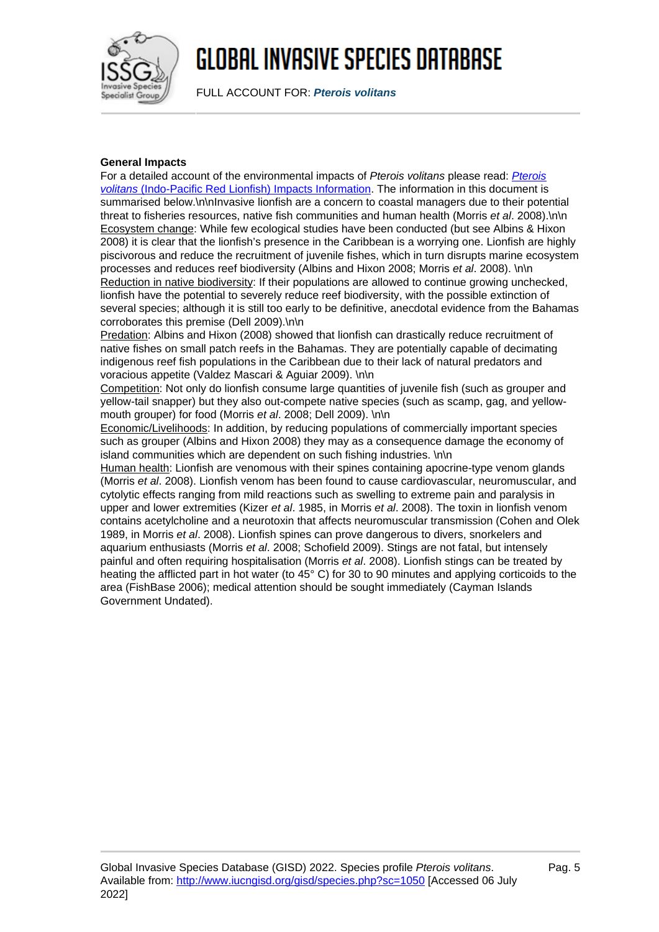

FULL ACCOUNT FOR: **Pterois volitans**

### **General Impacts**

For a detailed account of the environmental impacts of [Pterois](http://www.iucngisd.org/species/reference_files/ptevol/ptevol_imp.doc) volitans please read: Pterois [volitans](http://www.iucngisd.org/species/reference_files/ptevol/ptevol_imp.doc) [\(Indo-Pacific Red Lionfish\) Impacts Information](http://www.iucngisd.org/species/reference_files/ptevol/ptevol_imp.doc). The information in this document is summarised below.\n\nInvasive lionfish are a concern to coastal managers due to their potential threat to fisheries resources, native fish communities and human health (Morris et al. 2008).\n\n Ecosystem change: While few ecological studies have been conducted (but see Albins & Hixon 2008) it is clear that the lionfish's presence in the Caribbean is a worrying one. Lionfish are highly piscivorous and reduce the recruitment of juvenile fishes, which in turn disrupts marine ecosystem processes and reduces reef biodiversity (Albins and Hixon 2008; Morris et al. 2008). \n\n Reduction in native biodiversity: If their populations are allowed to continue growing unchecked, lionfish have the potential to severely reduce reef biodiversity, with the possible extinction of several species; although it is still too early to be definitive, anecdotal evidence from the Bahamas corroborates this premise (Dell 2009).\n\n

Predation: Albins and Hixon (2008) showed that lionfish can drastically reduce recruitment of native fishes on small patch reefs in the Bahamas. They are potentially capable of decimating indigenous reef fish populations in the Caribbean due to their lack of natural predators and voracious appetite (Valdez Mascari & Aguiar 2009). \n\n

Competition: Not only do lionfish consume large quantities of juvenile fish (such as grouper and yellow-tail snapper) but they also out-compete native species (such as scamp, gag, and yellowmouth grouper) for food (Morris et al. 2008; Dell 2009). \n\n

Economic/Livelihoods: In addition, by reducing populations of commercially important species such as grouper (Albins and Hixon 2008) they may as a consequence damage the economy of island communities which are dependent on such fishing industries. \n\n

Human health: Lionfish are venomous with their spines containing apocrine-type venom glands (Morris et al. 2008). Lionfish venom has been found to cause cardiovascular, neuromuscular, and cytolytic effects ranging from mild reactions such as swelling to extreme pain and paralysis in upper and lower extremities (Kizer et al. 1985, in Morris et al. 2008). The toxin in lionfish venom contains acetylcholine and a neurotoxin that affects neuromuscular transmission (Cohen and Olek 1989, in Morris et al. 2008). Lionfish spines can prove dangerous to divers, snorkelers and aquarium enthusiasts (Morris et al. 2008; Schofield 2009). Stings are not fatal, but intensely painful and often requiring hospitalisation (Morris et al. 2008). Lionfish stings can be treated by heating the afflicted part in hot water (to 45° C) for 30 to 90 minutes and applying corticoids to the area (FishBase 2006); medical attention should be sought immediately (Cayman Islands Government Undated).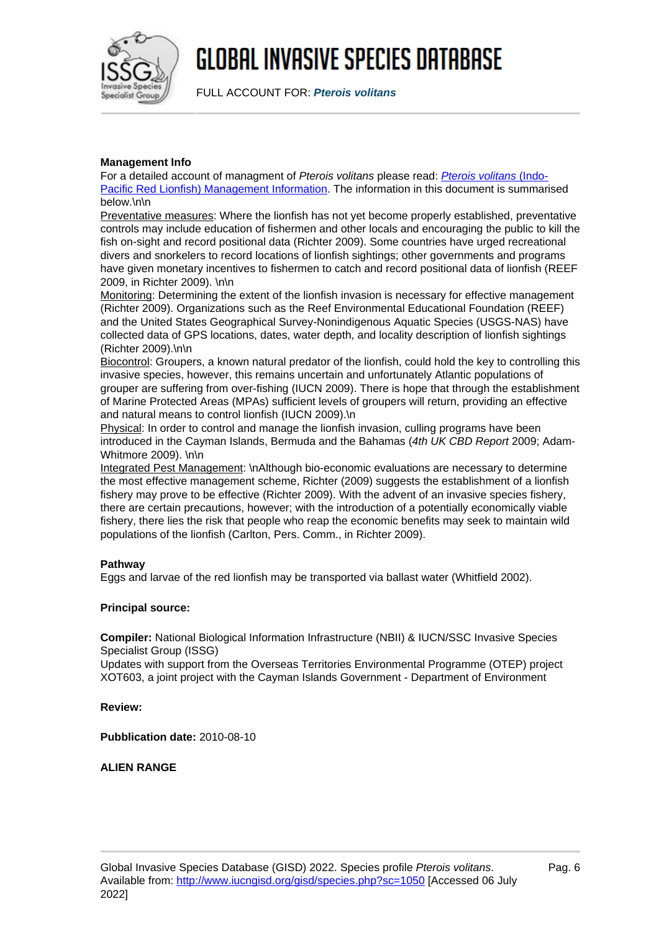

FULL ACCOUNT FOR: **Pterois volitans**

### **Management Info**

For a detailed account of managment of [Pterois volitans](http://www.iucngisd.org/species/reference_files/ptevol/ptevol_man.doc) please read: Pterois volitans [\(Indo-](http://www.iucngisd.org/species/reference_files/ptevol/ptevol_man.doc)[Pacific Red Lionfish\) Management Information.](http://www.iucngisd.org/species/reference_files/ptevol/ptevol_man.doc) The information in this document is summarised below.\n\n

Preventative measures: Where the lionfish has not yet become properly established, preventative controls may include education of fishermen and other locals and encouraging the public to kill the fish on-sight and record positional data (Richter 2009). Some countries have urged recreational divers and snorkelers to record locations of lionfish sightings; other governments and programs have given monetary incentives to fishermen to catch and record positional data of lionfish (REEF 2009, in Richter 2009). \n\n

Monitoring: Determining the extent of the lionfish invasion is necessary for effective management (Richter 2009). Organizations such as the Reef Environmental Educational Foundation (REEF) and the United States Geographical Survey-Nonindigenous Aquatic Species (USGS-NAS) have collected data of GPS locations, dates, water depth, and locality description of lionfish sightings (Richter 2009).\n\n

Biocontrol: Groupers, a known natural predator of the lionfish, could hold the key to controlling this invasive species, however, this remains uncertain and unfortunately Atlantic populations of grouper are suffering from over-fishing (IUCN 2009). There is hope that through the establishment of Marine Protected Areas (MPAs) sufficient levels of groupers will return, providing an effective and natural means to control lionfish (IUCN 2009).\n

Physical: In order to control and manage the lionfish invasion, culling programs have been introduced in the Cayman Islands, Bermuda and the Bahamas (4th UK CBD Report 2009; Adam-Whitmore 2009). \n\n

Integrated Pest Management: \nAlthough bio-economic evaluations are necessary to determine the most effective management scheme, Richter (2009) suggests the establishment of a lionfish fishery may prove to be effective (Richter 2009). With the advent of an invasive species fishery, there are certain precautions, however; with the introduction of a potentially economically viable fishery, there lies the risk that people who reap the economic benefits may seek to maintain wild populations of the lionfish (Carlton, Pers. Comm., in Richter 2009).

### **Pathway**

Eggs and larvae of the red lionfish may be transported via ballast water (Whitfield 2002).

### **Principal source:**

**Compiler:** National Biological Information Infrastructure (NBII) & IUCN/SSC Invasive Species Specialist Group (ISSG)

Updates with support from the Overseas Territories Environmental Programme (OTEP) project XOT603, a joint project with the Cayman Islands Government - Department of Environment

#### **Review:**

**Pubblication date:** 2010-08-10

#### **ALIEN RANGE**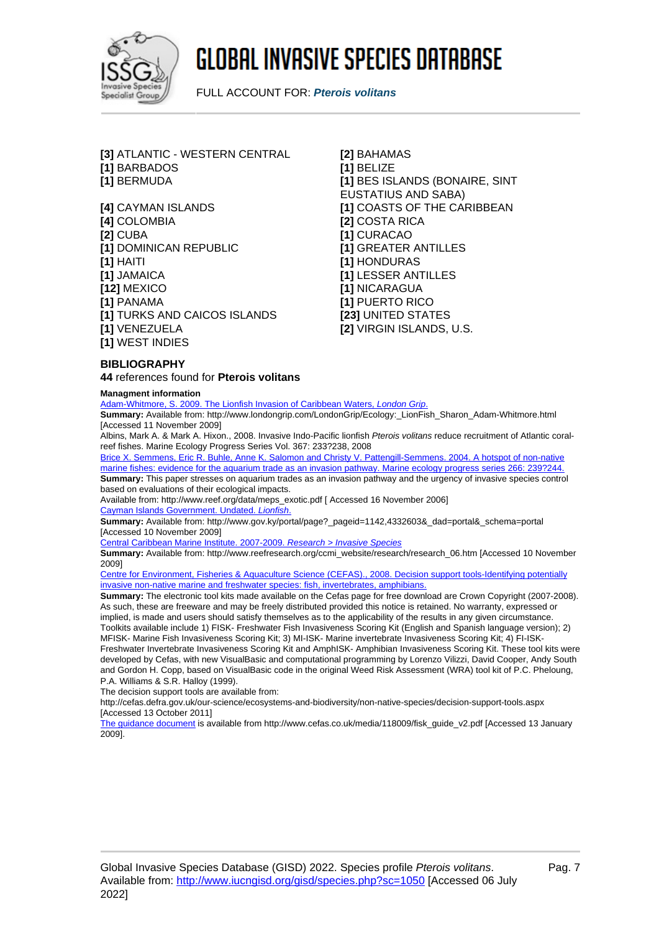

FULL ACCOUNT FOR: **Pterois volitans**

**[3]** ATLANTIC - WESTERN CENTRAL **[2]** BAHAMAS **[1]** BARBADOS **[1]** BELIZE **[1]** BERMUDA **[1]** BES ISLANDS (BONAIRE, SINT

**[4]** COLOMBIA **[2]** COSTA RICA **[2]** CUBA **[1]** CURACAO **[1]** DOMINICAN REPUBLIC **[1]** GREATER ANTILLES **[1]** HAITI **[1]** HONDURAS **[1]** JAMAICA **[1]** LESSER ANTILLES **[12]** MEXICO **[1]** NICARAGUA **[1]** PANAMA **[1]** PUERTO RICO **[1]** TURKS AND CAICOS ISLANDS **[23]** UNITED STATES **[1]** VENEZUELA **[2]** VIRGIN ISLANDS, U.S. **[1]** WEST INDIES

EUSTATIUS AND SABA) **[4]** CAYMAN ISLANDS **[1]** COASTS OF THE CARIBBEAN

### **BIBLIOGRAPHY**

**44** references found for **Pterois volitans**

#### **Managment information**

[Adam-Whitmore, S. 2009. The Lionfish Invasion of Caribbean Waters,](http://www.londongrip.com/LondonGrip/Ecology:_LionFish_Sharon_Adam-Whitmore.html) [London Grip](http://www.londongrip.com/LondonGrip/Ecology:_LionFish_Sharon_Adam-Whitmore.html)[.](http://www.londongrip.com/LondonGrip/Ecology:_LionFish_Sharon_Adam-Whitmore.html)

**Summary:** Available from: http://www.londongrip.com/LondonGrip/Ecology:\_LionFish\_Sharon\_Adam-Whitmore.html [Accessed 11 November 2009]

Albins, Mark A. & Mark A. Hixon., 2008. Invasive Indo-Pacific lionfish Pterois volitans reduce recruitment of Atlantic coralreef fishes. Marine Ecology Progress Series Vol. 367: 233?238, 2008

[Brice X. Semmens, Eric R. Buhle, Anne K. Salomon and Christy V. Pattengill-Semmens. 2004. A hotspot of non-native](http://www.reef.org/data/meps_exotic.pdf) marine fishes: evidence for the aquarium trade as an invasion pathway. Marine ecology progress series 266: 239?244 **Summary:** This paper stresses on aquarium trades as an invasion pathway and the urgency of invasive species control

based on evaluations of their ecological impacts.

Available from: http://www.reef.org/data/meps\_exotic.pdf [ Accessed 16 November 2006] [Cayman Islands Government. Undated.](http://www.gov.ky/portal/page?_pageid=1142,4332603&_dad=portal&_schema=portal) [Lionfish](http://www.gov.ky/portal/page?_pageid=1142,4332603&_dad=portal&_schema=portal)[.](http://www.gov.ky/portal/page?_pageid=1142,4332603&_dad=portal&_schema=portal)

**Summary:** Available from: http://www.gov.ky/portal/page?\_pageid=1142,4332603&\_dad=portal&\_schema=portal [Accessed 10 November 2009]

[Central Caribbean Marine Institute. 2007-2009.](http://www.reefresearch.org/ccmi_website/research/research_06.htm) [Research > Invasive Species](http://www.reefresearch.org/ccmi_website/research/research_06.htm)

**Summary:** Available from: http://www.reefresearch.org/ccmi\_website/research/research\_06.htm [Accessed 10 November 2009]

[Centre for Environment, Fisheries & Aquaculture Science \(CEFAS\)., 2008. Decision support tools-Identifying potentially](http://cefas.defra.gov.uk/our-science/ecosystems-and-biodiversity/non-native-species/decision-support-tools.aspx) [invasive non-native marine and freshwater species: fish, invertebrates, amphibians.](http://cefas.defra.gov.uk/our-science/ecosystems-and-biodiversity/non-native-species/decision-support-tools.aspx)

**Summary:** The electronic tool kits made available on the Cefas page for free download are Crown Copyright (2007-2008). As such, these are freeware and may be freely distributed provided this notice is retained. No warranty, expressed or implied, is made and users should satisfy themselves as to the applicability of the results in any given circumstance. Toolkits available include 1) FISK- Freshwater Fish Invasiveness Scoring Kit (English and Spanish language version); 2) MFISK- Marine Fish Invasiveness Scoring Kit; 3) MI-ISK- Marine invertebrate Invasiveness Scoring Kit; 4) FI-ISK-Freshwater Invertebrate Invasiveness Scoring Kit and AmphISK- Amphibian Invasiveness Scoring Kit. These tool kits were developed by Cefas, with new VisualBasic and computational programming by Lorenzo Vilizzi, David Cooper, Andy South and Gordon H. Copp, based on VisualBasic code in the original Weed Risk Assessment (WRA) tool kit of P.C. Pheloung, P.A. Williams & S.R. Halloy (1999).

The decision support tools are available from:

http://cefas.defra.gov.uk/our-science/ecosystems-and-biodiversity/non-native-species/decision-support-tools.aspx [Accessed 13 October 2011]

[The guidance document](http://www.cefas.co.uk/media/118009/fisk_guide_v2.pdf) is available from http://www.cefas.co.uk/media/118009/fisk\_guide\_v2.pdf [Accessed 13 January 2009].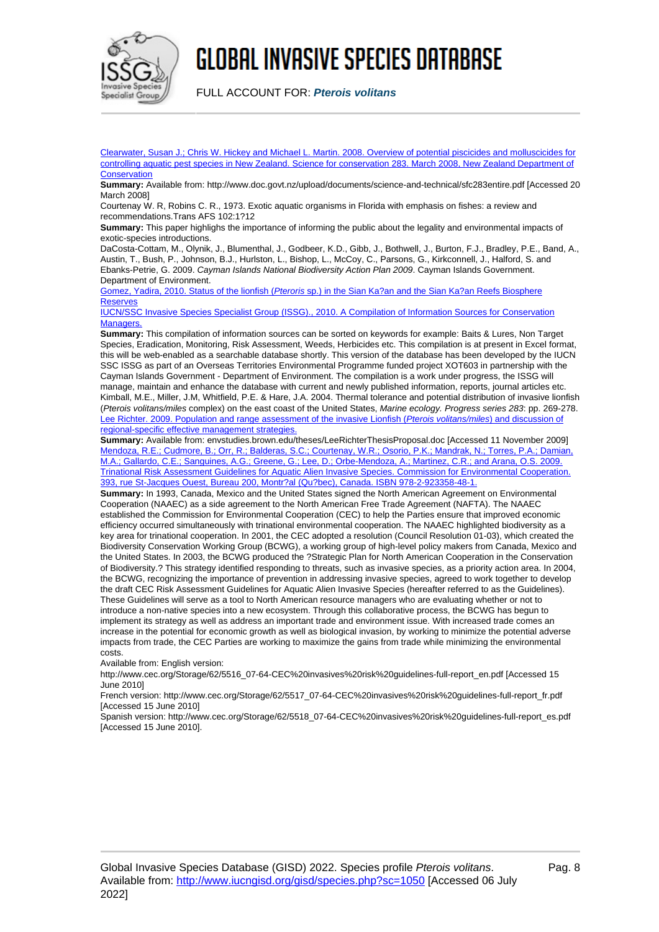

FULL ACCOUNT FOR: **Pterois volitans**

[Clearwater, Susan J.; Chris W. Hickey and Michael L. Martin. 2008. Overview of potential piscicides and molluscicides for](http://www.doc.govt.nz/upload/documents/science-and-technical/sfc283entire.pdf) [controlling aquatic pest species in New Zealand. Science for conservation 283. March 2008, New Zealand Department of](http://www.doc.govt.nz/upload/documents/science-and-technical/sfc283entire.pdf) **[Conservation](http://www.doc.govt.nz/upload/documents/science-and-technical/sfc283entire.pdf)** 

**Summary:** Available from: http://www.doc.govt.nz/upload/documents/science-and-technical/sfc283entire.pdf [Accessed 20 March 2008]

Courtenay W. R, Robins C. R., 1973. Exotic aquatic organisms in Florida with emphasis on fishes: a review and recommendations.Trans AFS 102:1?12

**Summary:** This paper highlighs the importance of informing the public about the legality and environmental impacts of exotic-species introductions.

DaCosta-Cottam, M., Olynik, J., Blumenthal, J., Godbeer, K.D., Gibb, J., Bothwell, J., Burton, F.J., Bradley, P.E., Band, A., Austin, T., Bush, P., Johnson, B.J., Hurlston, L., Bishop, L., McCoy, C., Parsons, G., Kirkconnell, J., Halford, S. and Ebanks-Petrie, G. 2009. Cayman Islands National Biodiversity Action Plan 2009. Cayman Islands Government. Department of Environment.

[Gomez, Yadira, 2010. Status of the lionfish \(](http://www.iucngisd.org/species/reference_files/ptevol/Pez_le�n_INGLES.doc)[Pteroris](http://www.iucngisd.org/species/reference_files/ptevol/Pez_le�n_INGLES.doc) [sp.\) in the Sian Ka?an and the Sian Ka?an Reefs Biosphere](http://www.iucngisd.org/species/reference_files/ptevol/Pez_le�n_INGLES.doc) **[Reserves](http://www.iucngisd.org/species/reference_files/ptevol/Pez_le�n_INGLES.doc)** 

[IUCN/SSC Invasive Species Specialist Group \(ISSG\)., 2010. A Compilation of Information Sources for Conservation](http://www.iucngisd.org/reference_files/OTEP/IUCN-SSC-ISSG-ManagementResources.xls) [Managers.](http://www.iucngisd.org/reference_files/OTEP/IUCN-SSC-ISSG-ManagementResources.xls)

**Summary:** This compilation of information sources can be sorted on keywords for example: Baits & Lures, Non Target Species, Eradication, Monitoring, Risk Assessment, Weeds, Herbicides etc. This compilation is at present in Excel format, this will be web-enabled as a searchable database shortly. This version of the database has been developed by the IUCN SSC ISSG as part of an Overseas Territories Environmental Programme funded project XOT603 in partnership with the Cayman Islands Government - Department of Environment. The compilation is a work under progress, the ISSG will manage, maintain and enhance the database with current and newly published information, reports, journal articles etc. Kimball, M.E., Miller, J.M, Whitfield, P.E. & Hare, J.A. 2004. Thermal tolerance and potential distribution of invasive lionfish (Pterois volitans/miles complex) on the east coast of the United States, Marine ecology. Progress series 283: pp. 269-278. [Lee Richter. 2009. Population and range assessment of the invasive Lionfish \(](http://www.iucngisd.org/gisd/envstudies.brown.edu/theses/LeeRichterThesisProposal.doc)[Pterois volitans/miles](http://www.iucngisd.org/gisd/envstudies.brown.edu/theses/LeeRichterThesisProposal.doc)[\) and discussion of](http://www.iucngisd.org/gisd/envstudies.brown.edu/theses/LeeRichterThesisProposal.doc) [regional-specific effective management strategies.](http://www.iucngisd.org/gisd/envstudies.brown.edu/theses/LeeRichterThesisProposal.doc)

**Summary:** Available from: envstudies.brown.edu/theses/LeeRichterThesisProposal.doc [Accessed 11 November 2009] [Mendoza, R.E.; Cudmore, B.; Orr, R.; Balderas, S.C.; Courtenay, W.R.; Osorio, P.K.; Mandrak, N.; Torres, P.A.; Damian,](http://www.cec.org/Storage/62/5516_07-64-CEC%20invasives%20risk%20guidelines-full-report_en.pdf) [M.A.; Gallardo, C.E.; Sanguines, A.G.; Greene, G.; Lee, D.; Orbe-Mendoza, A.; Martinez, C.R.; and Arana, O.S. 2009.](http://www.cec.org/Storage/62/5516_07-64-CEC%20invasives%20risk%20guidelines-full-report_en.pdf) [Trinational Risk Assessment Guidelines for Aquatic Alien Invasive Species. Commission for Environmental Cooperation.](http://www.cec.org/Storage/62/5516_07-64-CEC%20invasives%20risk%20guidelines-full-report_en.pdf) [393, rue St-Jacques Ouest, Bureau 200, Montr?al \(Qu?bec\), Canada. ISBN 978-2-923358-48-1.](http://www.cec.org/Storage/62/5516_07-64-CEC%20invasives%20risk%20guidelines-full-report_en.pdf)

**Summary:** In 1993, Canada, Mexico and the United States signed the North American Agreement on Environmental Cooperation (NAAEC) as a side agreement to the North American Free Trade Agreement (NAFTA). The NAAEC established the Commission for Environmental Cooperation (CEC) to help the Parties ensure that improved economic efficiency occurred simultaneously with trinational environmental cooperation. The NAAEC highlighted biodiversity as a key area for trinational cooperation. In 2001, the CEC adopted a resolution (Council Resolution 01-03), which created the Biodiversity Conservation Working Group (BCWG), a working group of high-level policy makers from Canada, Mexico and the United States. In 2003, the BCWG produced the ?Strategic Plan for North American Cooperation in the Conservation of Biodiversity.? This strategy identified responding to threats, such as invasive species, as a priority action area. In 2004, the BCWG, recognizing the importance of prevention in addressing invasive species, agreed to work together to develop the draft CEC Risk Assessment Guidelines for Aquatic Alien Invasive Species (hereafter referred to as the Guidelines). These Guidelines will serve as a tool to North American resource managers who are evaluating whether or not to introduce a non-native species into a new ecosystem. Through this collaborative process, the BCWG has begun to implement its strategy as well as address an important trade and environment issue. With increased trade comes an increase in the potential for economic growth as well as biological invasion, by working to minimize the potential adverse impacts from trade, the CEC Parties are working to maximize the gains from trade while minimizing the environmental costs.

Available from: English version:

http://www.cec.org/Storage/62/5516\_07-64-CEC%20invasives%20risk%20guidelines-full-report\_en.pdf [Accessed 15 June 2010]

French version: http://www.cec.org/Storage/62/5517\_07-64-CEC%20invasives%20risk%20guidelines-full-report\_fr.pdf [Accessed 15 June 2010]

Spanish version: http://www.cec.org/Storage/62/5518\_07-64-CEC%20invasives%20risk%20guidelines-full-report\_es.pdf [Accessed 15 June 2010].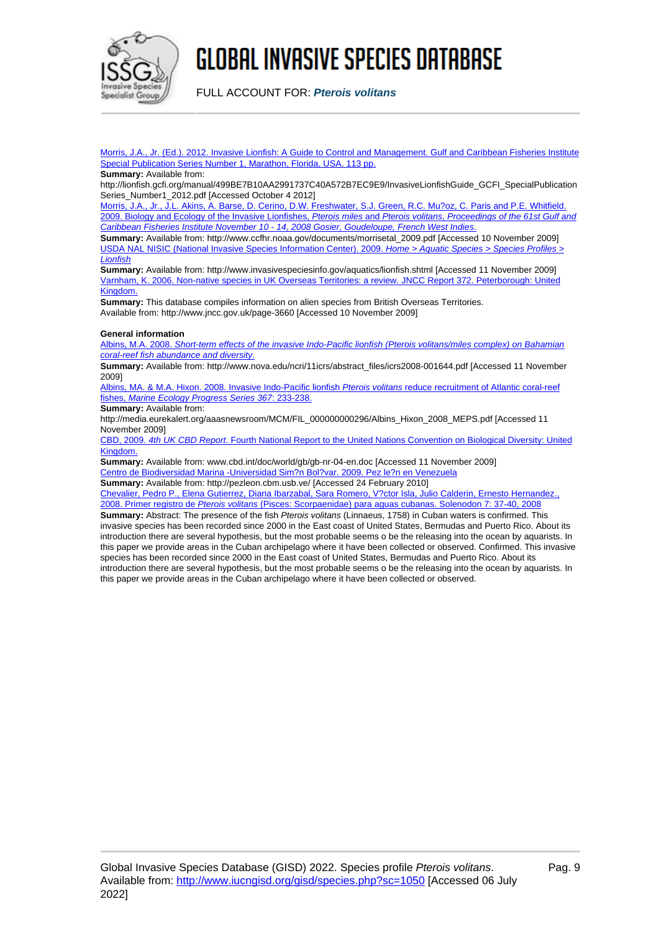

FULL ACCOUNT FOR: **Pterois volitans**

[Morris, J.A., Jr. \(Ed.\). 2012. Invasive Lionfish: A Guide to Control and Management. Gulf and Caribbean Fisheries Institute](http://lionfish.gcfi.org/manual/499BE7B10AA2991737C40A572B7EC9E9/InvasiveLionfishGuide_GCFI_SpecialPublicationSeries_Number1_2012.pdf) [Special Publication Series Number 1, Marathon, Florida, USA. 113 pp.](http://lionfish.gcfi.org/manual/499BE7B10AA2991737C40A572B7EC9E9/InvasiveLionfishGuide_GCFI_SpecialPublicationSeries_Number1_2012.pdf)

#### **Summary:** Available from:

http://lionfish.gcfi.org/manual/499BE7B10AA2991737C40A572B7EC9E9/InvasiveLionfishGuide\_GCFI\_SpecialPublication Series\_Number1\_2012.pdf [Accessed October 4 2012]

[Morris, J.A., Jr., J.L. Akins, A. Barse, D. Cerino, D.W. Freshwater, S.J. Green, R.C. Mu?oz, C. Paris and P.E. Whitfield.](http://www.ccfhr.noaa.gov/documents/morrisetal_2009.pdf) [2009. Biology and Ecology of the Invasive Lionfishes,](http://www.ccfhr.noaa.gov/documents/morrisetal_2009.pdf) [Pterois miles](http://www.ccfhr.noaa.gov/documents/morrisetal_2009.pdf) [and](http://www.ccfhr.noaa.gov/documents/morrisetal_2009.pdf) [Pterois volitans](http://www.ccfhr.noaa.gov/documents/morrisetal_2009.pdf)[,](http://www.ccfhr.noaa.gov/documents/morrisetal_2009.pdf) [Proceedings of the 61st Gulf and](http://www.ccfhr.noaa.gov/documents/morrisetal_2009.pdf) [Caribbean Fisheries Institute November 10 - 14, 2008 Gosier, Goudeloupe, French West Indies](http://www.ccfhr.noaa.gov/documents/morrisetal_2009.pdf)[.](http://www.ccfhr.noaa.gov/documents/morrisetal_2009.pdf)

**Summary:** Available from: http://www.ccfhr.noaa.gov/documents/morrisetal\_2009.pdf [Accessed 10 November 2009] [USDA NAL NISIC \(National Invasive Species Information Center\). 2009.](http://www.invasivespeciesinfo.gov/aquatics/lionfish.shtml) [Home > Aquatic Species > Species Profiles >](http://www.invasivespeciesinfo.gov/aquatics/lionfish.shtml) [Lionfish](http://www.invasivespeciesinfo.gov/aquatics/lionfish.shtml)

**Summary:** Available from: http://www.invasivespeciesinfo.gov/aquatics/lionfish.shtml [Accessed 11 November 2009] [Varnham, K. 2006. Non-native species in UK Overseas Territories: a review. JNCC Report 372. Peterborough: United](http://www.jncc.gov.uk/page-3660) [Kingdom.](http://www.jncc.gov.uk/page-3660)

**Summary:** This database compiles information on alien species from British Overseas Territories. Available from: http://www.jncc.gov.uk/page-3660 [Accessed 10 November 2009]

#### **General information**

[Albins, M.A. 2008.](http://www.nova.edu/ncri/11icrs/abstract_files/icrs2008-001644.pdf) [Short-term effects of the invasive Indo-Pacific lionfish \(Pterois volitans/miles complex\) on Bahamian](http://www.nova.edu/ncri/11icrs/abstract_files/icrs2008-001644.pdf) [coral-reef fish abundance and diversity](http://www.nova.edu/ncri/11icrs/abstract_files/icrs2008-001644.pdf)[.](http://www.nova.edu/ncri/11icrs/abstract_files/icrs2008-001644.pdf)

**Summary:** Available from: http://www.nova.edu/ncri/11icrs/abstract\_files/icrs2008-001644.pdf [Accessed 11 November 2009]

[Albins, MA. & M.A. Hixon. 2008. Invasive Indo-Pacific lionfish](http://media.eurekalert.org/aaasnewsroom/MCM/FIL_000000000296/Albins_Hixon_2008_MEPS.pdf) [Pterois volitans](http://media.eurekalert.org/aaasnewsroom/MCM/FIL_000000000296/Albins_Hixon_2008_MEPS.pdf) [reduce recruitment of Atlantic coral-reef](http://media.eurekalert.org/aaasnewsroom/MCM/FIL_000000000296/Albins_Hixon_2008_MEPS.pdf) [fishes,](http://media.eurekalert.org/aaasnewsroom/MCM/FIL_000000000296/Albins_Hixon_2008_MEPS.pdf) [Marine Ecology Progress Series 367](http://media.eurekalert.org/aaasnewsroom/MCM/FIL_000000000296/Albins_Hixon_2008_MEPS.pdf)[: 233-238.](http://media.eurekalert.org/aaasnewsroom/MCM/FIL_000000000296/Albins_Hixon_2008_MEPS.pdf)

**Summary:** Available from:

http://media.eurekalert.org/aaasnewsroom/MCM/FIL\_000000000296/Albins\_Hixon\_2008\_MEPS.pdf [Accessed 11 November 2009]

[CBD, 2009.](http://www.iucngisd.org/gisd/www.cbd.int/doc/world/gb/gb-nr-04-en.doc) [4th UK CBD Report](http://www.iucngisd.org/gisd/www.cbd.int/doc/world/gb/gb-nr-04-en.doc)[. Fourth National Report to the United Nations Convention on Biological Diversity: United](http://www.iucngisd.org/gisd/www.cbd.int/doc/world/gb/gb-nr-04-en.doc) [Kingdom.](http://www.iucngisd.org/gisd/www.cbd.int/doc/world/gb/gb-nr-04-en.doc)

**Summary:** Available from: www.cbd.int/doc/world/gb/gb-nr-04-en.doc [Accessed 11 November 2009] [Centro de Biodiversidad Marina -Universidad Sim?n Bol?var. 2009. Pez le?n en Venezuela](http://pezleon.cbm.usb.ve/)

**Summary:** Available from: http://pezleon.cbm.usb.ve/ [Accessed 24 February 2010]

[Chevalier, Pedro P., Elena Gutierrez, Diana Ibarzabal, Sara Romero, V?ctor Isla, Julio Calderin, Ernesto Hernandez.,](http://portal.unesco.org/portaloceanico/file_download.php/Pterois.pdf?URL_ID=9578&filename=12125028041Pterois.pdf&filetype=application/pdf&filesize=272313&name=Pterois.pdf&location=user-S/) [2008. Primer registro de](http://portal.unesco.org/portaloceanico/file_download.php/Pterois.pdf?URL_ID=9578&filename=12125028041Pterois.pdf&filetype=application/pdf&filesize=272313&name=Pterois.pdf&location=user-S/) [Pterois volitans](http://portal.unesco.org/portaloceanico/file_download.php/Pterois.pdf?URL_ID=9578&filename=12125028041Pterois.pdf&filetype=application/pdf&filesize=272313&name=Pterois.pdf&location=user-S/) [\(Pisces: Scorpaenidae\) para aguas cubanas. Solenodon 7: 37-40, 2008](http://portal.unesco.org/portaloceanico/file_download.php/Pterois.pdf?URL_ID=9578&filename=12125028041Pterois.pdf&filetype=application/pdf&filesize=272313&name=Pterois.pdf&location=user-S/)

**Summary:** Abstract: The presence of the fish Pterois volitans (Linnaeus, 1758) in Cuban waters is confirmed. This invasive species has been recorded since 2000 in the East coast of United States, Bermudas and Puerto Rico. About its introduction there are several hypothesis, but the most probable seems o be the releasing into the ocean by aquarists. In this paper we provide areas in the Cuban archipelago where it have been collected or observed. Confirmed. This invasive species has been recorded since 2000 in the East coast of United States, Bermudas and Puerto Rico. About its introduction there are several hypothesis, but the most probable seems o be the releasing into the ocean by aquarists. In this paper we provide areas in the Cuban archipelago where it have been collected or observed.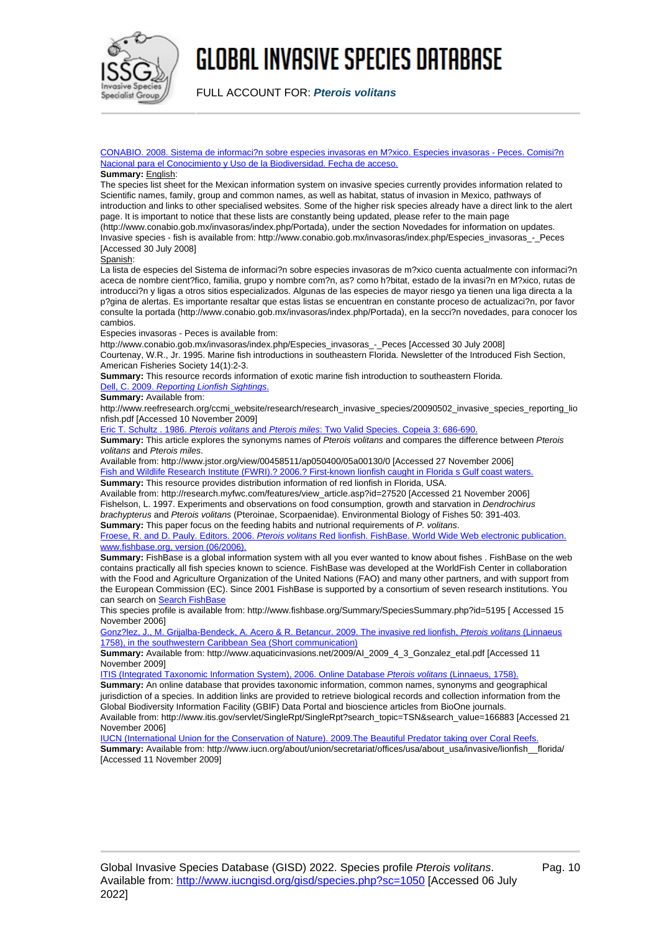

FULL ACCOUNT FOR: **Pterois volitans**

[CONABIO. 2008. Sistema de informaci?n sobre especies invasoras en M?xico. Especies invasoras - Peces. Comisi?n](http://www.conabio.gob.mx/invasoras/index.php/Especies_invasoras_-_Peces) [Nacional para el Conocimiento y Uso de la Biodiversidad. Fecha de acceso.](http://www.conabio.gob.mx/invasoras/index.php/Especies_invasoras_-_Peces)

#### **Summary:** English:

The species list sheet for the Mexican information system on invasive species currently provides information related to Scientific names, family, group and common names, as well as habitat, status of invasion in Mexico, pathways of introduction and links to other specialised websites. Some of the higher risk species already have a direct link to the alert page. It is important to notice that these lists are constantly being updated, please refer to the main page (http://www.conabio.gob.mx/invasoras/index.php/Portada), under the section Novedades for information on updates. Invasive species - fish is available from: http://www.conabio.gob.mx/invasoras/index.php/Especies\_invasoras\_-\_Peces [Accessed 30 July 2008]

Spanish:

La lista de especies del Sistema de informaci?n sobre especies invasoras de m?xico cuenta actualmente con informaci?n aceca de nombre cient?fico, familia, grupo y nombre com?n, as? como h?bitat, estado de la invasi?n en M?xico, rutas de introducci?n y ligas a otros sitios especializados. Algunas de las especies de mayor riesgo ya tienen una liga directa a la p?gina de alertas. Es importante resaltar que estas listas se encuentran en constante proceso de actualizaci?n, por favor consulte la portada (http://www.conabio.gob.mx/invasoras/index.php/Portada), en la secci?n novedades, para conocer los cambios.

Especies invasoras - Peces is available from:

http://www.conabio.gob.mx/invasoras/index.php/Especies\_invasoras\_-\_Peces [Accessed 30 July 2008]

Courtenay, W.R., Jr. 1995. Marine fish introductions in southeastern Florida. Newsletter of the Introduced Fish Section, American Fisheries Society 14(1):2-3.

**Summary:** This resource records information of exotic marine fish introduction to southeastern Florida.

[Dell, C. 2009.](http://www.reefresearch.org/ccmi_website/research/research_invasive_species/20090502_invasive_species_reporting_lionfish.pdf) [Reporting Lionfish Sightings](http://www.reefresearch.org/ccmi_website/research/research_invasive_species/20090502_invasive_species_reporting_lionfish.pdf)[.](http://www.reefresearch.org/ccmi_website/research/research_invasive_species/20090502_invasive_species_reporting_lionfish.pdf)

**Summary:** Available from:

http://www.reefresearch.org/ccmi\_website/research/research\_invasive\_species/20090502\_invasive\_species\_reporting\_lio nfish.pdf [Accessed 10 November 2009]

[Eric T. Schultz . 1986.](http://www.jstor.org/view/00458511/ap050400/05a00130/0) [Pterois volitans](http://www.jstor.org/view/00458511/ap050400/05a00130/0) [and](http://www.jstor.org/view/00458511/ap050400/05a00130/0) [Pterois miles](http://www.jstor.org/view/00458511/ap050400/05a00130/0)[: Two Valid Species. Copeia 3: 686-690.](http://www.jstor.org/view/00458511/ap050400/05a00130/0)

**Summary:** This article explores the synonyms names of Pterois volitans and compares the difference between Pterois volitans and Pterois miles.

Available from: http://www.jstor.org/view/00458511/ap050400/05a00130/0 [Accessed 27 November 2006] [Fish and Wildlife Research Institute \(FWRI\).? 2006.? First-known lionfish caught in Florida s Gulf coast waters.](http://research.myfwc.com/features/view_article.asp?id=27520)

**Summary:** This resource provides distribution information of red lionfish in Florida, USA.

Available from: http://research.myfwc.com/features/view\_article.asp?id=27520 [Accessed 21 November 2006] Fishelson, L. 1997. Experiments and observations on food consumption, growth and starvation in Dendrochirus brachypterus and Pterois volitans (Pteroinae, Scorpaenidae). Environmental Biology of Fishes 50: 391-403. **Summary:** This paper focus on the feeding habits and nutrional requirements of P. volitans.

[Froese, R. and D. Pauly. Editors. 2006.](http://www.fishbase.org/Summary/SpeciesSummary.php?id=5195) [Pterois volitans](http://www.fishbase.org/Summary/SpeciesSummary.php?id=5195) [Red lionfish. FishBase. World Wide Web electronic publication.](http://www.fishbase.org/Summary/SpeciesSummary.php?id=5195) [www.fishbase.org, version \(06/2006\).](http://www.fishbase.org/Summary/SpeciesSummary.php?id=5195)

**Summary:** FishBase is a global information system with all you ever wanted to know about fishes . FishBase on the web contains practically all fish species known to science. FishBase was developed at the WorldFish Center in collaboration with the Food and Agriculture Organization of the United Nations (FAO) and many other partners, and with support from the European Commission (EC). Since 2001 FishBase is supported by a consortium of seven research institutions. You can search on [Search FishBase](http://www.fishbase.org/search.php)

This species profile is available from: http://www.fishbase.org/Summary/SpeciesSummary.php?id=5195 [ Accessed 15 November 2006]

[Gonz?lez, J., M. Grijalba-Bendeck, A. Acero & R. Betancur. 2009. The invasive red lionfish,](http://www.aquaticinvasions.net/2009/AI_2009_4_3_Gonzalez_etal.pdf) [Pterois volitans](http://www.aquaticinvasions.net/2009/AI_2009_4_3_Gonzalez_etal.pdf) [\(Linnaeus](http://www.aquaticinvasions.net/2009/AI_2009_4_3_Gonzalez_etal.pdf) [1758\), in the southwestern Caribbean Sea \(Short communication\)](http://www.aquaticinvasions.net/2009/AI_2009_4_3_Gonzalez_etal.pdf)

**Summary:** Available from: http://www.aquaticinvasions.net/2009/AI\_2009\_4\_3\_Gonzalez\_etal.pdf [Accessed 11 November 2009]

[ITIS \(Integrated Taxonomic Information System\), 2006. Online Database](http://www.itis.gov/servlet/SingleRpt/SingleRpt?search_topic=TSN&search_value=166883) [Pterois volitans](http://www.itis.gov/servlet/SingleRpt/SingleRpt?search_topic=TSN&search_value=166883) [\(Linnaeus, 1758\).](http://www.itis.gov/servlet/SingleRpt/SingleRpt?search_topic=TSN&search_value=166883)

**Summary:** An online database that provides taxonomic information, common names, synonyms and geographical jurisdiction of a species. In addition links are provided to retrieve biological records and collection information from the Global Biodiversity Information Facility (GBIF) Data Portal and bioscience articles from BioOne journals. Available from: http://www.itis.gov/servlet/SingleRpt/SingleRpt?search\_topic=TSN&search\_value=166883 [Accessed 21 November 2006]

[IUCN \(International Union for the Conservation of Nature\). 2009.The Beautiful Predator taking over Coral Reefs.](http://www.iucn.org/about/union/secretariat/offices/usa/about_usa/invasive/lionfish__florida/) **Summary:** Available from: http://www.iucn.org/about/union/secretariat/offices/usa/about\_usa/invasive/lionfish\_\_florida/ [Accessed 11 November 2009]